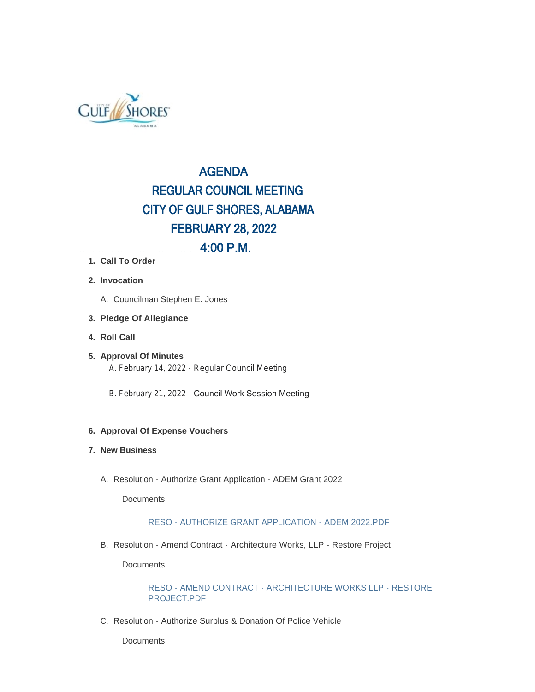

# AGENDA REGULAR COUNCIL MEETING CITY OF GULF SHORES, ALABAMA FEBRUARY 28, 2022 4:00 P.M.

- **Call To Order 1.**
- **Invocation 2.**
	- A. Councilman Stephen E. Jones
- **Pledge Of Allegiance 3.**
- **Roll Call 4.**
- **Approval Of Minutes 5.** A. February 14, 2022 - Regular Council Meeting
	- B. February 21, 2022 Council Work Session Meeting

### **Approval Of Expense Vouchers 6.**

#### **New Business 7.**

A. Resolution - Authorize Grant Application - ADEM Grant 2022

Documents:

### RESO - AUTHORIZE GRANT APPLICATION - ADEM 2022.PDF

B. Resolution - Amend Contract - Architecture Works, LLP - Restore Project

Documents:

RESO - AMEND CONTRACT - ARCHITECTURE WORKS LLP - RESTORE PROJECT PDF

C. Resolution - Authorize Surplus & Donation Of Police Vehicle

Documents: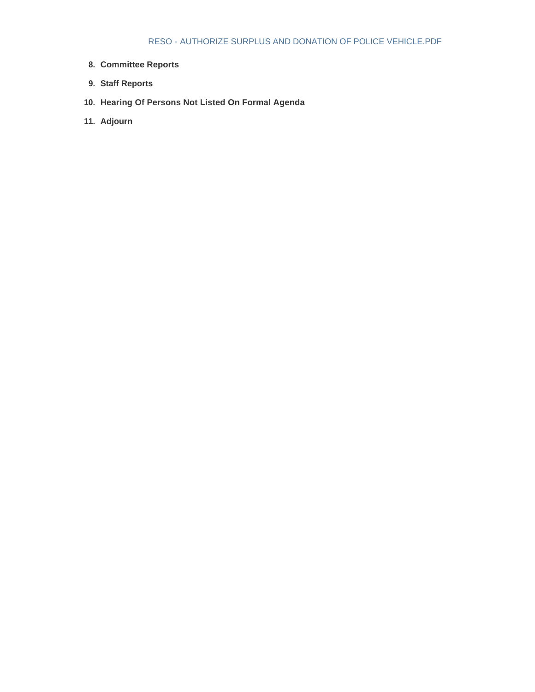- **Committee Reports 8.**
- **Staff Reports 9.**
- **Hearing Of Persons Not Listed On Formal Agenda 10.**
- **Adjourn 11.**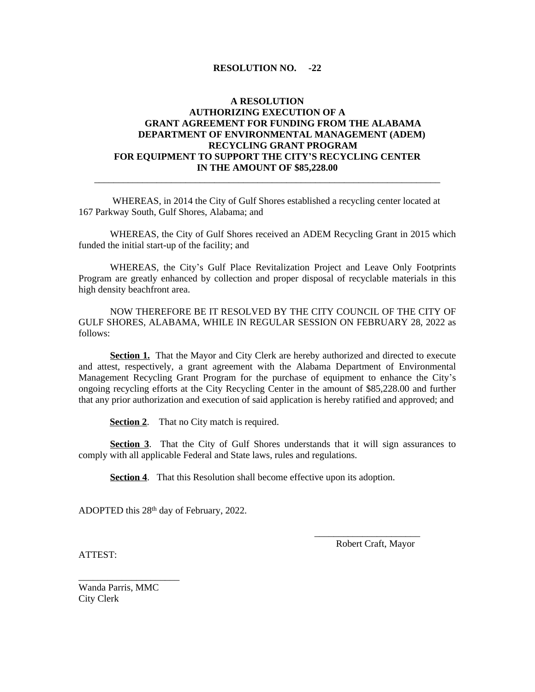### **RESOLUTION NO. -22**

### **A RESOLUTION AUTHORIZING EXECUTION OF A GRANT AGREEMENT FOR FUNDING FROM THE ALABAMA DEPARTMENT OF ENVIRONMENTAL MANAGEMENT (ADEM) RECYCLING GRANT PROGRAM FOR EQUIPMENT TO SUPPORT THE CITY'S RECYCLING CENTER IN THE AMOUNT OF \$85,228.00**

\_\_\_\_\_\_\_\_\_\_\_\_\_\_\_\_\_\_\_\_\_\_\_\_\_\_\_\_\_\_\_\_\_\_\_\_\_\_\_\_\_\_\_\_\_\_\_\_\_\_\_\_\_\_\_\_\_\_\_\_\_\_\_\_\_\_\_\_\_\_\_\_

WHEREAS, in 2014 the City of Gulf Shores established a recycling center located at 167 Parkway South, Gulf Shores, Alabama; and

WHEREAS, the City of Gulf Shores received an ADEM Recycling Grant in 2015 which funded the initial start-up of the facility; and

WHEREAS, the City's Gulf Place Revitalization Project and Leave Only Footprints Program are greatly enhanced by collection and proper disposal of recyclable materials in this high density beachfront area.

NOW THEREFORE BE IT RESOLVED BY THE CITY COUNCIL OF THE CITY OF GULF SHORES, ALABAMA, WHILE IN REGULAR SESSION ON FEBRUARY 28, 2022 as follows:

**Section 1.** That the Mayor and City Clerk are hereby authorized and directed to execute and attest, respectively, a grant agreement with the Alabama Department of Environmental Management Recycling Grant Program for the purchase of equipment to enhance the City's ongoing recycling efforts at the City Recycling Center in the amount of \$85,228.00 and further that any prior authorization and execution of said application is hereby ratified and approved; and

**Section 2.** That no City match is required.

**Section 3.** That the City of Gulf Shores understands that it will sign assurances to comply with all applicable Federal and State laws, rules and regulations.

**Section 4.** That this Resolution shall become effective upon its adoption.

ADOPTED this 28 th day of February, 2022.

Robert Craft, Mayor

 $\overline{\phantom{a}}$  ,  $\overline{\phantom{a}}$  ,  $\overline{\phantom{a}}$  ,  $\overline{\phantom{a}}$  ,  $\overline{\phantom{a}}$  ,  $\overline{\phantom{a}}$  ,  $\overline{\phantom{a}}$  ,  $\overline{\phantom{a}}$  ,  $\overline{\phantom{a}}$  ,  $\overline{\phantom{a}}$  ,  $\overline{\phantom{a}}$  ,  $\overline{\phantom{a}}$  ,  $\overline{\phantom{a}}$  ,  $\overline{\phantom{a}}$  ,  $\overline{\phantom{a}}$  ,  $\overline{\phantom{a}}$ 

ATTEST:

Wanda Parris, MMC City Clerk

\_\_\_\_\_\_\_\_\_\_\_\_\_\_\_\_\_\_\_\_\_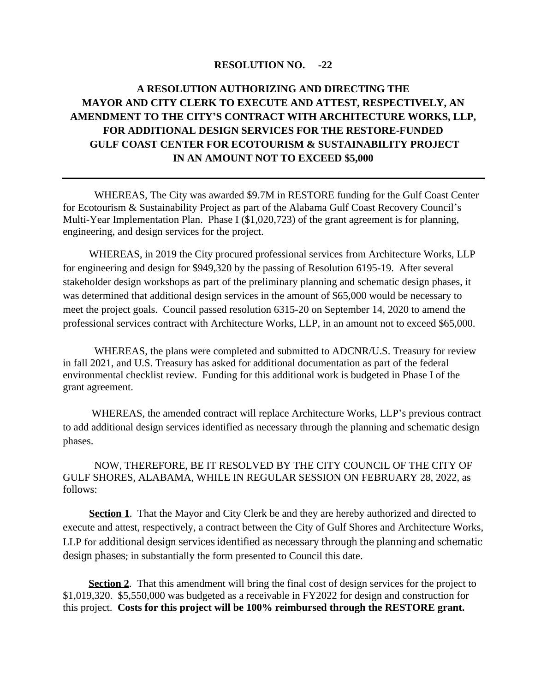### **RESOLUTION NO. -22**

# **A RESOLUTION AUTHORIZING AND DIRECTING THE MAYOR AND CITY CLERK TO EXECUTE AND ATTEST, RESPECTIVELY, AN AMENDMENT TO THE CITY'S CONTRACT WITH ARCHITECTURE WORKS, LLP, FOR ADDITIONAL DESIGN SERVICES FOR THE RESTORE-FUNDED GULF COAST CENTER FOR ECOTOURISM & SUSTAINABILITY PROJECT IN AN AMOUNT NOT TO EXCEED \$5,000**

WHEREAS, The City was awarded \$9.7M in RESTORE funding for the Gulf Coast Center for Ecotourism & Sustainability Project as part of the Alabama Gulf Coast Recovery Council's Multi-Year Implementation Plan. Phase I (\$1,020,723) of the grant agreement is for planning, engineering, and design services for the project.

WHEREAS, in 2019 the City procured professional services from Architecture Works, LLP for engineering and design for \$949,320 by the passing of Resolution 6195-19. After several stakeholder design workshops as part of the preliminary planning and schematic design phases, it was determined that additional design services in the amount of \$65,000 would be necessary to meet the project goals. Council passed resolution 6315-20 on September 14, 2020 to amend the professional services contract with Architecture Works, LLP, in an amount not to exceed \$65,000.

WHEREAS, the plans were completed and submitted to ADCNR/U.S. Treasury for review in fall 2021, and U.S. Treasury has asked for additional documentation as part of the federal environmental checklist review. Funding for this additional work is budgeted in Phase I of the grant agreement.

 WHEREAS, the amended contract will replace Architecture Works, LLP's previous contract to add additional design services identified as necessary through the planning and schematic design phases.

NOW, THEREFORE, BE IT RESOLVED BY THE CITY COUNCIL OF THE CITY OF GULF SHORES, ALABAMA, WHILE IN REGULAR SESSION ON FEBRUARY 28, 2022, as follows:

**Section 1**. That the Mayor and City Clerk be and they are hereby authorized and directed to execute and attest, respectively, a contract between the City of Gulf Shores and Architecture Works, LLP for additional design services identified as necessary through the planning and schematic design phases; in substantially the form presented to Council this date.

**Section 2.** That this amendment will bring the final cost of design services for the project to \$1,019,320. \$5,550,000 was budgeted as a receivable in FY2022 for design and construction for this project. **Costs for this project will be 100% reimbursed through the RESTORE grant.**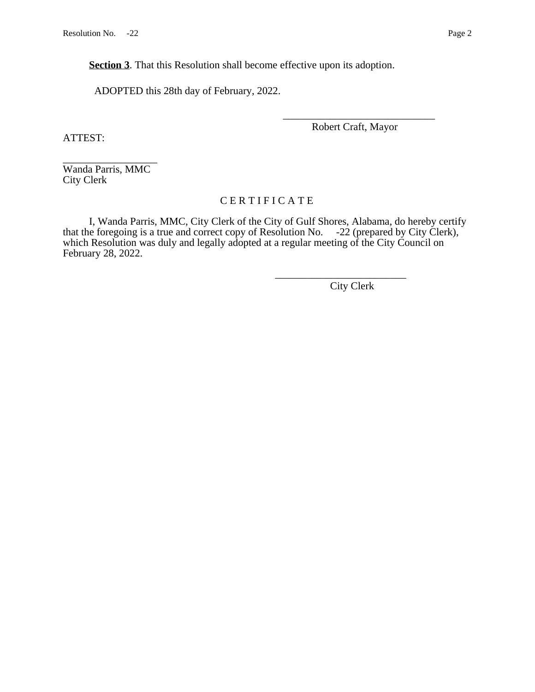**Section 3**. That this Resolution shall become effective upon its adoption.

ADOPTED this 28th day of February, 2022.

\_\_\_\_\_\_\_\_\_\_\_\_\_\_\_\_\_\_\_\_\_\_\_\_\_\_\_\_\_ Robert Craft, Mayor

ATTEST:

\_\_\_\_\_\_\_\_\_\_\_\_\_\_\_\_\_\_ Wanda Parris, MMC City Clerk

## C E R T I F I C A T E

I, Wanda Parris, MMC, City Clerk of the City of Gulf Shores, Alabama, do hereby certify that the foregoing is a true and correct copy of Resolution No. -22 (prepared by City Clerk), which Resolution was duly and legally adopted at a regular meeting of the City Council on February 28, 2022.

 $\frac{1}{2}$  , and the contract of the contract of the contract of the contract of the contract of the contract of the contract of the contract of the contract of the contract of the contract of the contract of the contract City Clerk